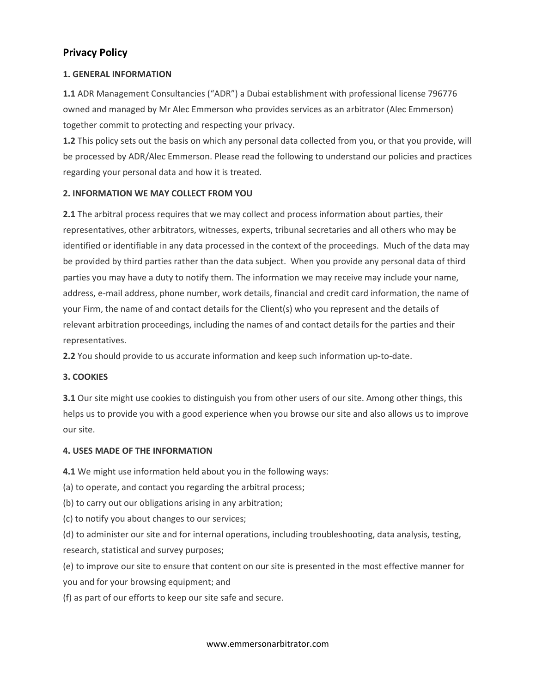# Privacy Policy

# 1. GENERAL INFORMATION

1.1 ADR Management Consultancies ("ADR") a Dubai establishment with professional license 796776 owned and managed by Mr Alec Emmerson who provides services as an arbitrator (Alec Emmerson) together commit to protecting and respecting your privacy.

1.2 This policy sets out the basis on which any personal data collected from you, or that you provide, will be processed by ADR/Alec Emmerson. Please read the following to understand our policies and practices regarding your personal data and how it is treated.

# 2. INFORMATION WE MAY COLLECT FROM YOU

2.1 The arbitral process requires that we may collect and process information about parties, their representatives, other arbitrators, witnesses, experts, tribunal secretaries and all others who may be identified or identifiable in any data processed in the context of the proceedings. Much of the data may be provided by third parties rather than the data subject. When you provide any personal data of third parties you may have a duty to notify them. The information we may receive may include your name, address, e-mail address, phone number, work details, financial and credit card information, the name of your Firm, the name of and contact details for the Client(s) who you represent and the details of relevant arbitration proceedings, including the names of and contact details for the parties and their representatives.

2.2 You should provide to us accurate information and keep such information up-to-date.

## 3. COOKIES

3.1 Our site might use cookies to distinguish you from other users of our site. Among other things, this helps us to provide you with a good experience when you browse our site and also allows us to improve our site.

## 4. USES MADE OF THE INFORMATION

4.1 We might use information held about you in the following ways:

(a) to operate, and contact you regarding the arbitral process;

(b) to carry out our obligations arising in any arbitration;

(c) to notify you about changes to our services;

(d) to administer our site and for internal operations, including troubleshooting, data analysis, testing, research, statistical and survey purposes;

(e) to improve our site to ensure that content on our site is presented in the most effective manner for you and for your browsing equipment; and

(f) as part of our efforts to keep our site safe and secure.